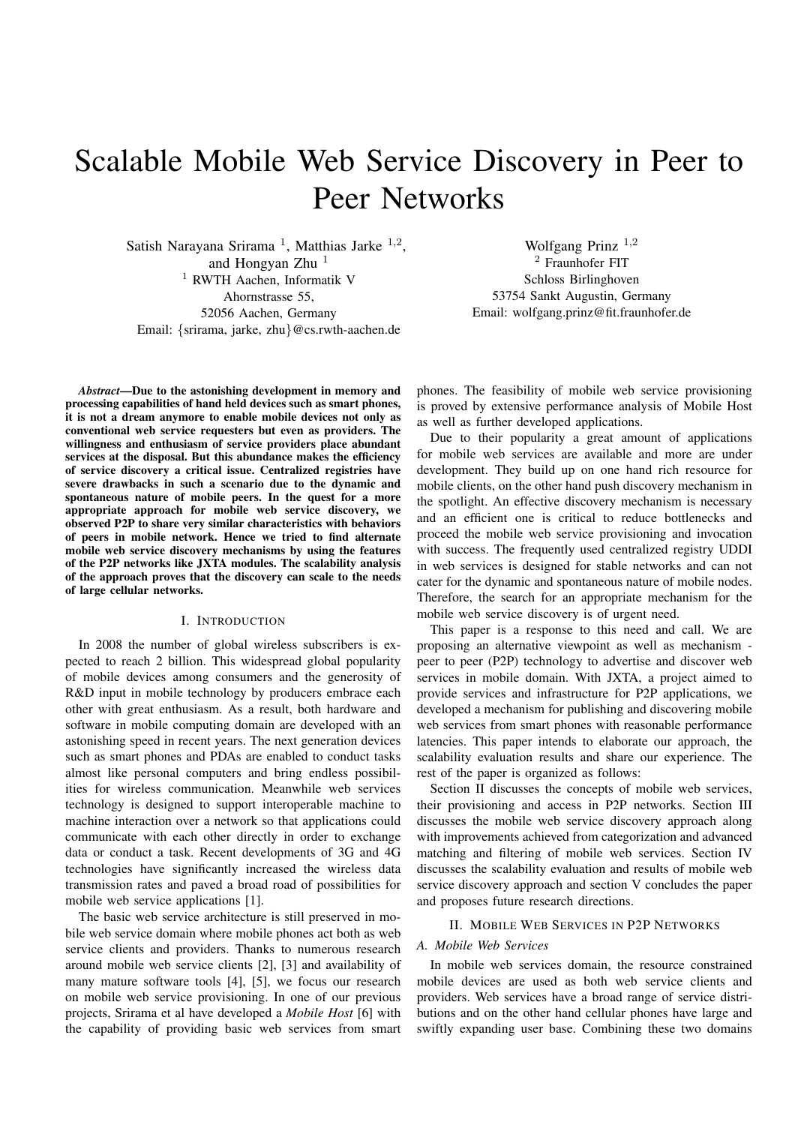# Scalable Mobile Web Service Discovery in Peer to Peer Networks

Satish Narayana Srirama<sup>1</sup>, Matthias Jarke<sup>1,2</sup>, and Hongyan  $Z$ hu<sup>1</sup> <sup>1</sup> RWTH Aachen, Informatik V Ahornstrasse 55, 52056 Aachen, Germany Email: {srirama, jarke, zhu}@cs.rwth-aachen.de

Wolfgang Prinz <sup>1</sup>,<sup>2</sup> <sup>2</sup> Fraunhofer FIT Schloss Birlinghoven 53754 Sankt Augustin, Germany Email: wolfgang.prinz@fit.fraunhofer.de

*Abstract*—Due to the astonishing development in memory and processing capabilities of hand held devices such as smart phones, it is not a dream anymore to enable mobile devices not only as conventional web service requesters but even as providers. The willingness and enthusiasm of service providers place abundant services at the disposal. But this abundance makes the efficiency of service discovery a critical issue. Centralized registries have severe drawbacks in such a scenario due to the dynamic and spontaneous nature of mobile peers. In the quest for a more appropriate approach for mobile web service discovery, we observed P2P to share very similar characteristics with behaviors of peers in mobile network. Hence we tried to find alternate mobile web service discovery mechanisms by using the features of the P2P networks like JXTA modules. The scalability analysis of the approach proves that the discovery can scale to the needs of large cellular networks.

## I. INTRODUCTION

In 2008 the number of global wireless subscribers is expected to reach 2 billion. This widespread global popularity of mobile devices among consumers and the generosity of R&D input in mobile technology by producers embrace each other with great enthusiasm. As a result, both hardware and software in mobile computing domain are developed with an astonishing speed in recent years. The next generation devices such as smart phones and PDAs are enabled to conduct tasks almost like personal computers and bring endless possibilities for wireless communication. Meanwhile web services technology is designed to support interoperable machine to machine interaction over a network so that applications could communicate with each other directly in order to exchange data or conduct a task. Recent developments of 3G and 4G technologies have significantly increased the wireless data transmission rates and paved a broad road of possibilities for mobile web service applications [1].

The basic web service architecture is still preserved in mobile web service domain where mobile phones act both as web service clients and providers. Thanks to numerous research around mobile web service clients [2], [3] and availability of many mature software tools [4], [5], we focus our research on mobile web service provisioning. In one of our previous projects, Srirama et al have developed a *Mobile Host* [6] with the capability of providing basic web services from smart phones. The feasibility of mobile web service provisioning is proved by extensive performance analysis of Mobile Host as well as further developed applications.

Due to their popularity a great amount of applications for mobile web services are available and more are under development. They build up on one hand rich resource for mobile clients, on the other hand push discovery mechanism in the spotlight. An effective discovery mechanism is necessary and an efficient one is critical to reduce bottlenecks and proceed the mobile web service provisioning and invocation with success. The frequently used centralized registry UDDI in web services is designed for stable networks and can not cater for the dynamic and spontaneous nature of mobile nodes. Therefore, the search for an appropriate mechanism for the mobile web service discovery is of urgent need.

This paper is a response to this need and call. We are proposing an alternative viewpoint as well as mechanism peer to peer (P2P) technology to advertise and discover web services in mobile domain. With JXTA, a project aimed to provide services and infrastructure for P2P applications, we developed a mechanism for publishing and discovering mobile web services from smart phones with reasonable performance latencies. This paper intends to elaborate our approach, the scalability evaluation results and share our experience. The rest of the paper is organized as follows:

Section II discusses the concepts of mobile web services, their provisioning and access in P2P networks. Section III discusses the mobile web service discovery approach along with improvements achieved from categorization and advanced matching and filtering of mobile web services. Section IV discusses the scalability evaluation and results of mobile web service discovery approach and section V concludes the paper and proposes future research directions.

## II. MOBILE WEB SERVICES IN P2P NETWORKS

## *A. Mobile Web Services*

In mobile web services domain, the resource constrained mobile devices are used as both web service clients and providers. Web services have a broad range of service distributions and on the other hand cellular phones have large and swiftly expanding user base. Combining these two domains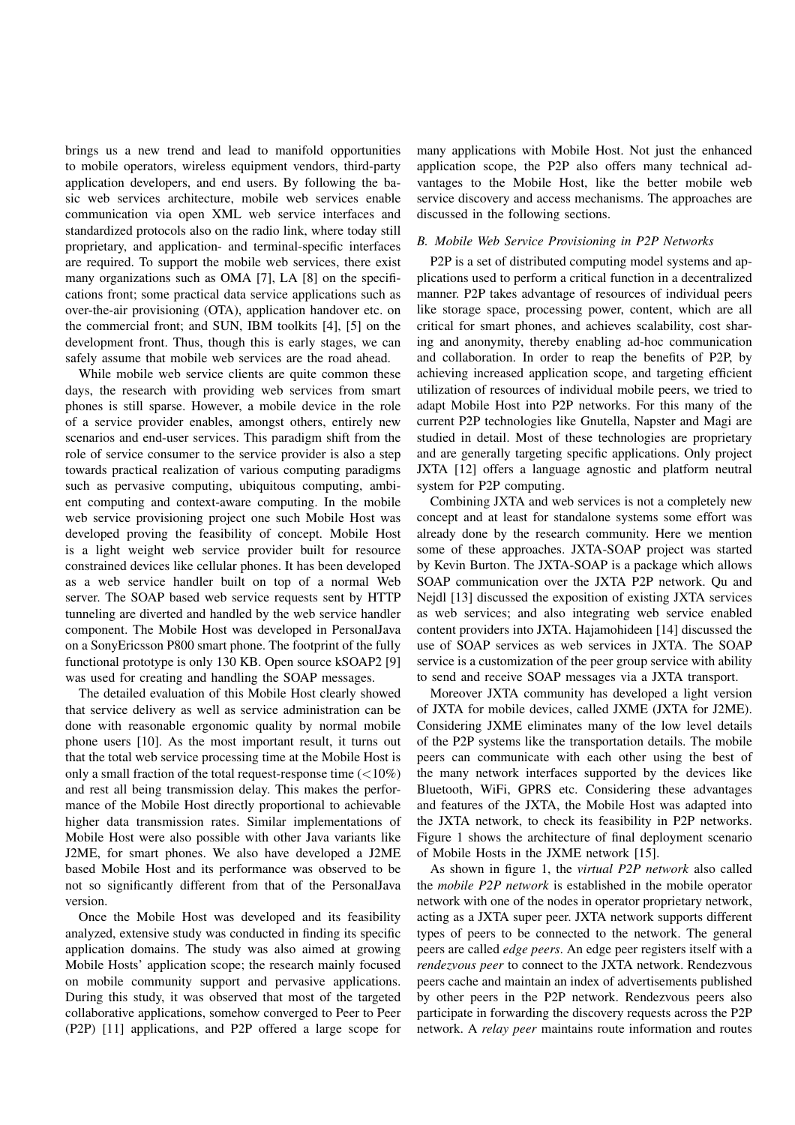brings us a new trend and lead to manifold opportunities to mobile operators, wireless equipment vendors, third-party application developers, and end users. By following the basic web services architecture, mobile web services enable communication via open XML web service interfaces and standardized protocols also on the radio link, where today still proprietary, and application- and terminal-specific interfaces are required. To support the mobile web services, there exist many organizations such as OMA [7], LA [8] on the specifications front; some practical data service applications such as over-the-air provisioning (OTA), application handover etc. on the commercial front; and SUN, IBM toolkits [4], [5] on the development front. Thus, though this is early stages, we can safely assume that mobile web services are the road ahead.

While mobile web service clients are quite common these days, the research with providing web services from smart phones is still sparse. However, a mobile device in the role of a service provider enables, amongst others, entirely new scenarios and end-user services. This paradigm shift from the role of service consumer to the service provider is also a step towards practical realization of various computing paradigms such as pervasive computing, ubiquitous computing, ambient computing and context-aware computing. In the mobile web service provisioning project one such Mobile Host was developed proving the feasibility of concept. Mobile Host is a light weight web service provider built for resource constrained devices like cellular phones. It has been developed as a web service handler built on top of a normal Web server. The SOAP based web service requests sent by HTTP tunneling are diverted and handled by the web service handler component. The Mobile Host was developed in PersonalJava on a SonyEricsson P800 smart phone. The footprint of the fully functional prototype is only 130 KB. Open source kSOAP2 [9] was used for creating and handling the SOAP messages.

The detailed evaluation of this Mobile Host clearly showed that service delivery as well as service administration can be done with reasonable ergonomic quality by normal mobile phone users [10]. As the most important result, it turns out that the total web service processing time at the Mobile Host is only a small fraction of the total request-response time  $(<10\%)$ and rest all being transmission delay. This makes the performance of the Mobile Host directly proportional to achievable higher data transmission rates. Similar implementations of Mobile Host were also possible with other Java variants like J2ME, for smart phones. We also have developed a J2ME based Mobile Host and its performance was observed to be not so significantly different from that of the PersonalJava version.

Once the Mobile Host was developed and its feasibility analyzed, extensive study was conducted in finding its specific application domains. The study was also aimed at growing Mobile Hosts' application scope; the research mainly focused on mobile community support and pervasive applications. During this study, it was observed that most of the targeted collaborative applications, somehow converged to Peer to Peer (P2P) [11] applications, and P2P offered a large scope for

many applications with Mobile Host. Not just the enhanced application scope, the P2P also offers many technical advantages to the Mobile Host, like the better mobile web service discovery and access mechanisms. The approaches are discussed in the following sections.

## *B. Mobile Web Service Provisioning in P2P Networks*

P2P is a set of distributed computing model systems and applications used to perform a critical function in a decentralized manner. P2P takes advantage of resources of individual peers like storage space, processing power, content, which are all critical for smart phones, and achieves scalability, cost sharing and anonymity, thereby enabling ad-hoc communication and collaboration. In order to reap the benefits of P2P, by achieving increased application scope, and targeting efficient utilization of resources of individual mobile peers, we tried to adapt Mobile Host into P2P networks. For this many of the current P2P technologies like Gnutella, Napster and Magi are studied in detail. Most of these technologies are proprietary and are generally targeting specific applications. Only project JXTA [12] offers a language agnostic and platform neutral system for P2P computing.

Combining JXTA and web services is not a completely new concept and at least for standalone systems some effort was already done by the research community. Here we mention some of these approaches. JXTA-SOAP project was started by Kevin Burton. The JXTA-SOAP is a package which allows SOAP communication over the JXTA P2P network. Qu and Nejdl [13] discussed the exposition of existing JXTA services as web services; and also integrating web service enabled content providers into JXTA. Hajamohideen [14] discussed the use of SOAP services as web services in JXTA. The SOAP service is a customization of the peer group service with ability to send and receive SOAP messages via a JXTA transport.

Moreover JXTA community has developed a light version of JXTA for mobile devices, called JXME (JXTA for J2ME). Considering JXME eliminates many of the low level details of the P2P systems like the transportation details. The mobile peers can communicate with each other using the best of the many network interfaces supported by the devices like Bluetooth, WiFi, GPRS etc. Considering these advantages and features of the JXTA, the Mobile Host was adapted into the JXTA network, to check its feasibility in P2P networks. Figure 1 shows the architecture of final deployment scenario of Mobile Hosts in the JXME network [15].

As shown in figure 1, the *virtual P2P network* also called the *mobile P2P network* is established in the mobile operator network with one of the nodes in operator proprietary network, acting as a JXTA super peer. JXTA network supports different types of peers to be connected to the network. The general peers are called *edge peers*. An edge peer registers itself with a *rendezvous peer* to connect to the JXTA network. Rendezvous peers cache and maintain an index of advertisements published by other peers in the P2P network. Rendezvous peers also participate in forwarding the discovery requests across the P2P network. A *relay peer* maintains route information and routes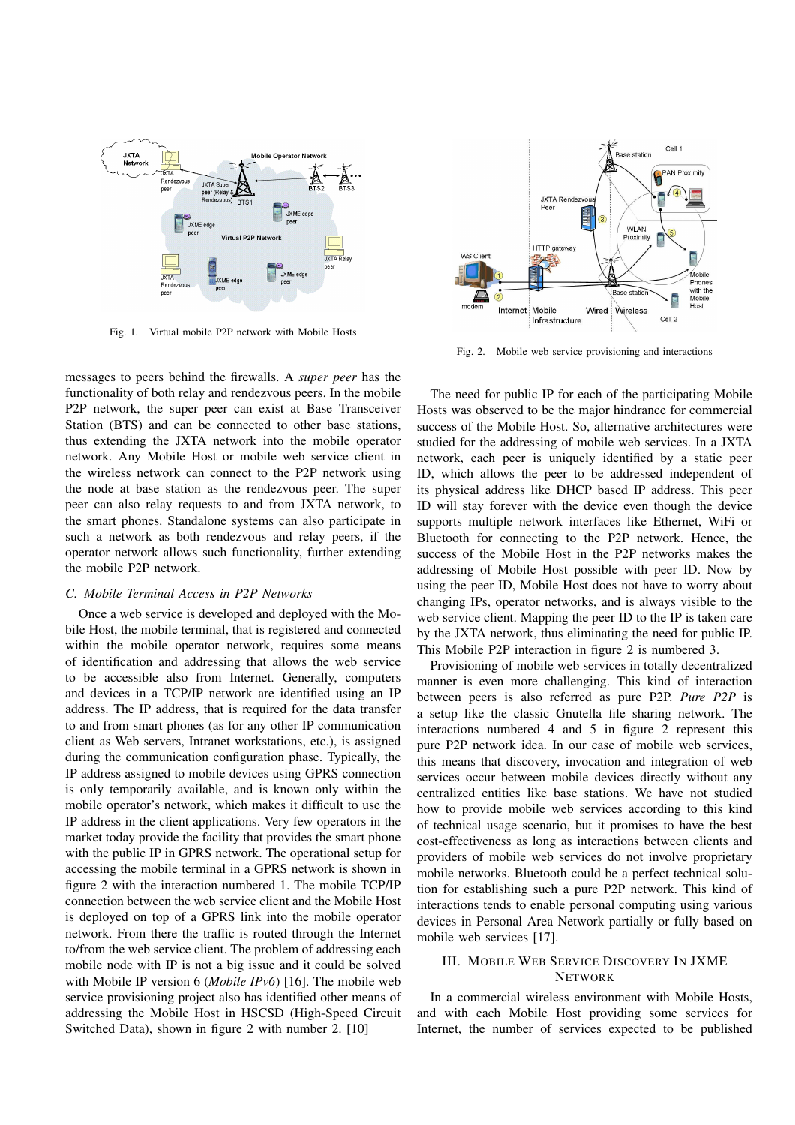

Fig. 1. Virtual mobile P2P network with Mobile Hosts

messages to peers behind the firewalls. A *super peer* has the functionality of both relay and rendezvous peers. In the mobile P2P network, the super peer can exist at Base Transceiver Station (BTS) and can be connected to other base stations, thus extending the JXTA network into the mobile operator network. Any Mobile Host or mobile web service client in the wireless network can connect to the P2P network using the node at base station as the rendezvous peer. The super peer can also relay requests to and from JXTA network, to the smart phones. Standalone systems can also participate in such a network as both rendezvous and relay peers, if the operator network allows such functionality, further extending the mobile P2P network.

### *C. Mobile Terminal Access in P2P Networks*

Once a web service is developed and deployed with the Mobile Host, the mobile terminal, that is registered and connected within the mobile operator network, requires some means of identification and addressing that allows the web service to be accessible also from Internet. Generally, computers and devices in a TCP/IP network are identified using an IP address. The IP address, that is required for the data transfer to and from smart phones (as for any other IP communication client as Web servers, Intranet workstations, etc.), is assigned during the communication configuration phase. Typically, the IP address assigned to mobile devices using GPRS connection is only temporarily available, and is known only within the mobile operator's network, which makes it difficult to use the IP address in the client applications. Very few operators in the market today provide the facility that provides the smart phone with the public IP in GPRS network. The operational setup for accessing the mobile terminal in a GPRS network is shown in figure 2 with the interaction numbered 1. The mobile TCP/IP connection between the web service client and the Mobile Host is deployed on top of a GPRS link into the mobile operator network. From there the traffic is routed through the Internet to/from the web service client. The problem of addressing each mobile node with IP is not a big issue and it could be solved with Mobile IP version 6 (*Mobile IPv6*) [16]. The mobile web service provisioning project also has identified other means of addressing the Mobile Host in HSCSD (High-Speed Circuit Switched Data), shown in figure 2 with number 2. [10]



Fig. 2. Mobile web service provisioning and interactions

The need for public IP for each of the participating Mobile Hosts was observed to be the major hindrance for commercial success of the Mobile Host. So, alternative architectures were studied for the addressing of mobile web services. In a JXTA network, each peer is uniquely identified by a static peer ID, which allows the peer to be addressed independent of its physical address like DHCP based IP address. This peer ID will stay forever with the device even though the device supports multiple network interfaces like Ethernet, WiFi or Bluetooth for connecting to the P2P network. Hence, the success of the Mobile Host in the P2P networks makes the addressing of Mobile Host possible with peer ID. Now by using the peer ID, Mobile Host does not have to worry about changing IPs, operator networks, and is always visible to the web service client. Mapping the peer ID to the IP is taken care by the JXTA network, thus eliminating the need for public IP. This Mobile P2P interaction in figure 2 is numbered 3.

Provisioning of mobile web services in totally decentralized manner is even more challenging. This kind of interaction between peers is also referred as pure P2P. *Pure P2P* is a setup like the classic Gnutella file sharing network. The interactions numbered 4 and 5 in figure 2 represent this pure P2P network idea. In our case of mobile web services, this means that discovery, invocation and integration of web services occur between mobile devices directly without any centralized entities like base stations. We have not studied how to provide mobile web services according to this kind of technical usage scenario, but it promises to have the best cost-effectiveness as long as interactions between clients and providers of mobile web services do not involve proprietary mobile networks. Bluetooth could be a perfect technical solution for establishing such a pure P2P network. This kind of interactions tends to enable personal computing using various devices in Personal Area Network partially or fully based on mobile web services [17].

# III. MOBILE WEB SERVICE DISCOVERY IN JXME **NETWORK**

In a commercial wireless environment with Mobile Hosts, and with each Mobile Host providing some services for Internet, the number of services expected to be published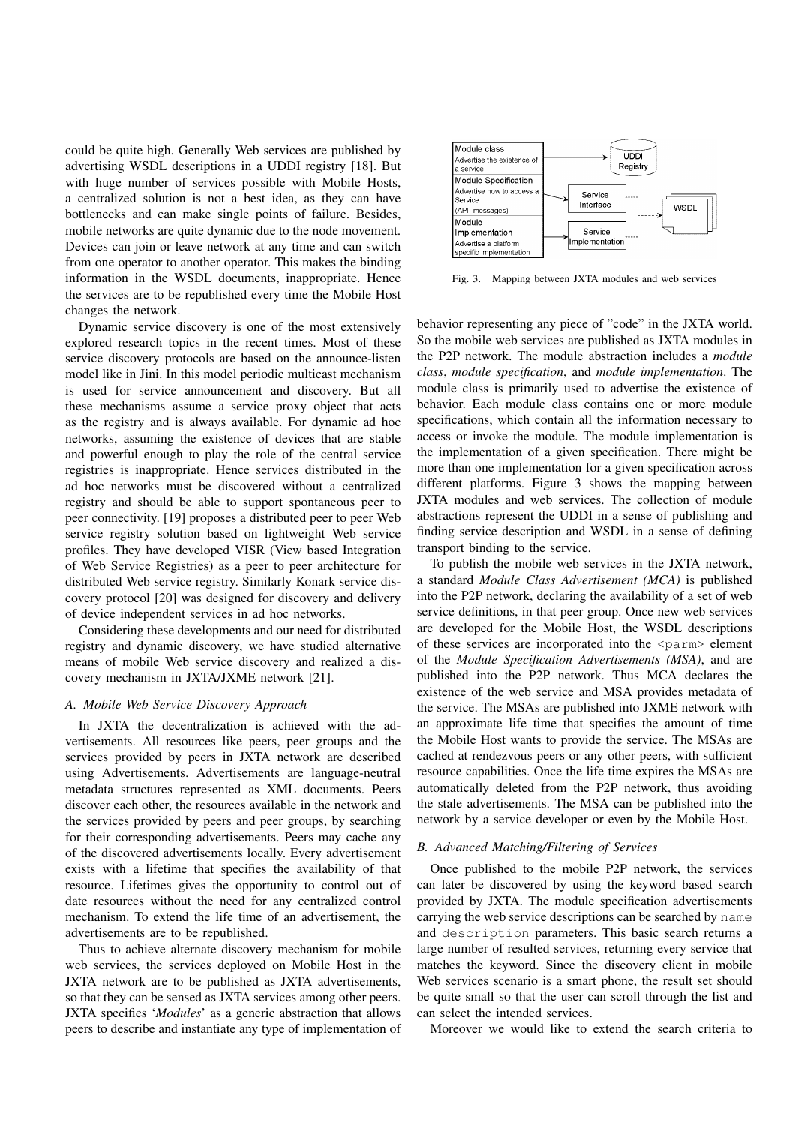could be quite high. Generally Web services are published by advertising WSDL descriptions in a UDDI registry [18]. But with huge number of services possible with Mobile Hosts, a centralized solution is not a best idea, as they can have bottlenecks and can make single points of failure. Besides, mobile networks are quite dynamic due to the node movement. Devices can join or leave network at any time and can switch from one operator to another operator. This makes the binding information in the WSDL documents, inappropriate. Hence the services are to be republished every time the Mobile Host changes the network.

Dynamic service discovery is one of the most extensively explored research topics in the recent times. Most of these service discovery protocols are based on the announce-listen model like in Jini. In this model periodic multicast mechanism is used for service announcement and discovery. But all these mechanisms assume a service proxy object that acts as the registry and is always available. For dynamic ad hoc networks, assuming the existence of devices that are stable and powerful enough to play the role of the central service registries is inappropriate. Hence services distributed in the ad hoc networks must be discovered without a centralized registry and should be able to support spontaneous peer to peer connectivity. [19] proposes a distributed peer to peer Web service registry solution based on lightweight Web service profiles. They have developed VISR (View based Integration of Web Service Registries) as a peer to peer architecture for distributed Web service registry. Similarly Konark service discovery protocol [20] was designed for discovery and delivery of device independent services in ad hoc networks.

Considering these developments and our need for distributed registry and dynamic discovery, we have studied alternative means of mobile Web service discovery and realized a discovery mechanism in JXTA/JXME network [21].

# *A. Mobile Web Service Discovery Approach*

In JXTA the decentralization is achieved with the advertisements. All resources like peers, peer groups and the services provided by peers in JXTA network are described using Advertisements. Advertisements are language-neutral metadata structures represented as XML documents. Peers discover each other, the resources available in the network and the services provided by peers and peer groups, by searching for their corresponding advertisements. Peers may cache any of the discovered advertisements locally. Every advertisement exists with a lifetime that specifies the availability of that resource. Lifetimes gives the opportunity to control out of date resources without the need for any centralized control mechanism. To extend the life time of an advertisement, the advertisements are to be republished.

Thus to achieve alternate discovery mechanism for mobile web services, the services deployed on Mobile Host in the JXTA network are to be published as JXTA advertisements, so that they can be sensed as JXTA services among other peers. JXTA specifies '*Modules*' as a generic abstraction that allows peers to describe and instantiate any type of implementation of



Fig. 3. Mapping between JXTA modules and web services

behavior representing any piece of "code" in the JXTA world. So the mobile web services are published as JXTA modules in the P2P network. The module abstraction includes a *module class*, *module specification*, and *module implementation*. The module class is primarily used to advertise the existence of behavior. Each module class contains one or more module specifications, which contain all the information necessary to access or invoke the module. The module implementation is the implementation of a given specification. There might be more than one implementation for a given specification across different platforms. Figure 3 shows the mapping between JXTA modules and web services. The collection of module abstractions represent the UDDI in a sense of publishing and finding service description and WSDL in a sense of defining transport binding to the service.

To publish the mobile web services in the JXTA network, a standard *Module Class Advertisement (MCA)* is published into the P2P network, declaring the availability of a set of web service definitions, in that peer group. Once new web services are developed for the Mobile Host, the WSDL descriptions of these services are incorporated into the <parm> element of the *Module Specification Advertisements (MSA)*, and are published into the P2P network. Thus MCA declares the existence of the web service and MSA provides metadata of the service. The MSAs are published into JXME network with an approximate life time that specifies the amount of time the Mobile Host wants to provide the service. The MSAs are cached at rendezvous peers or any other peers, with sufficient resource capabilities. Once the life time expires the MSAs are automatically deleted from the P2P network, thus avoiding the stale advertisements. The MSA can be published into the network by a service developer or even by the Mobile Host.

#### *B. Advanced Matching/Filtering of Services*

Once published to the mobile P2P network, the services can later be discovered by using the keyword based search provided by JXTA. The module specification advertisements carrying the web service descriptions can be searched by name and description parameters. This basic search returns a large number of resulted services, returning every service that matches the keyword. Since the discovery client in mobile Web services scenario is a smart phone, the result set should be quite small so that the user can scroll through the list and can select the intended services.

Moreover we would like to extend the search criteria to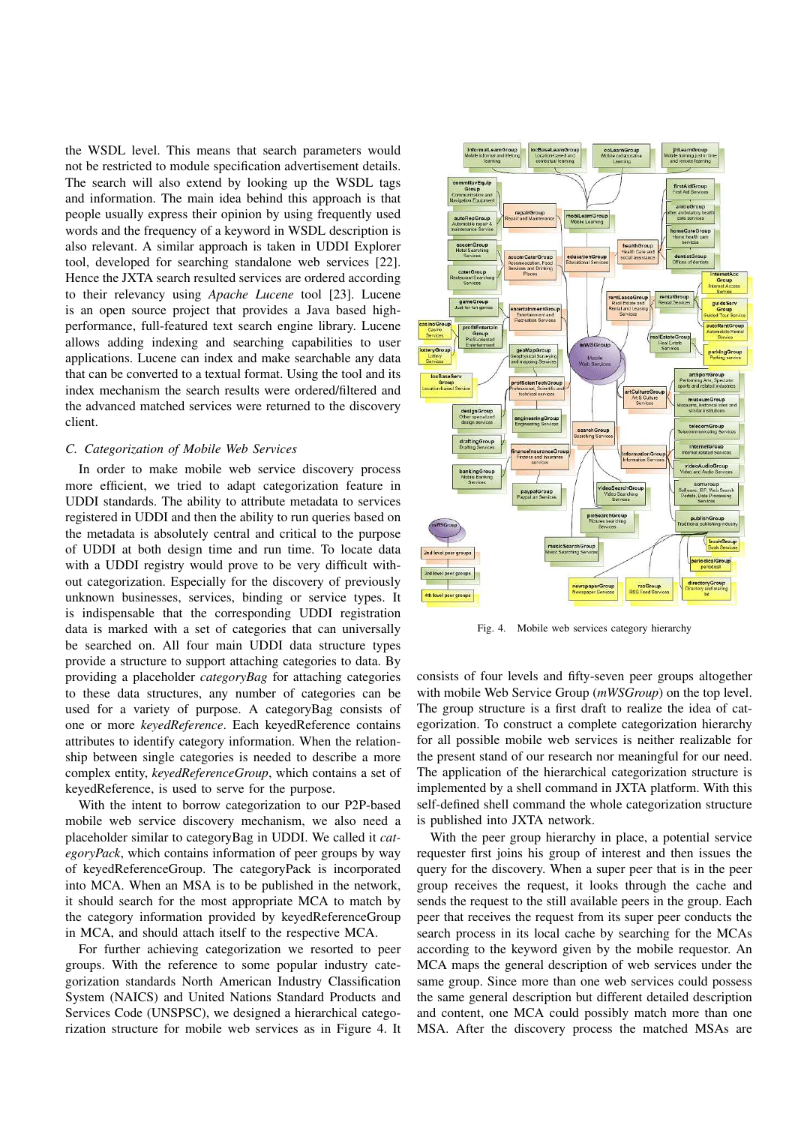the WSDL level. This means that search parameters would not be restricted to module specification advertisement details. The search will also extend by looking up the WSDL tags and information. The main idea behind this approach is that people usually express their opinion by using frequently used words and the frequency of a keyword in WSDL description is also relevant. A similar approach is taken in UDDI Explorer tool, developed for searching standalone web services [22]. Hence the JXTA search resulted services are ordered according to their relevancy using *Apache Lucene* tool [23]. Lucene is an open source project that provides a Java based highperformance, full-featured text search engine library. Lucene allows adding indexing and searching capabilities to user applications. Lucene can index and make searchable any data that can be converted to a textual format. Using the tool and its index mechanism the search results were ordered/filtered and the advanced matched services were returned to the discovery client.

## *C. Categorization of Mobile Web Services*

In order to make mobile web service discovery process more efficient, we tried to adapt categorization feature in UDDI standards. The ability to attribute metadata to services registered in UDDI and then the ability to run queries based on the metadata is absolutely central and critical to the purpose of UDDI at both design time and run time. To locate data with a UDDI registry would prove to be very difficult without categorization. Especially for the discovery of previously unknown businesses, services, binding or service types. It is indispensable that the corresponding UDDI registration data is marked with a set of categories that can universally be searched on. All four main UDDI data structure types provide a structure to support attaching categories to data. By providing a placeholder *categoryBag* for attaching categories to these data structures, any number of categories can be used for a variety of purpose. A categoryBag consists of one or more *keyedReference*. Each keyedReference contains attributes to identify category information. When the relationship between single categories is needed to describe a more complex entity, *keyedReferenceGroup*, which contains a set of keyedReference, is used to serve for the purpose.

With the intent to borrow categorization to our P2P-based mobile web service discovery mechanism, we also need a placeholder similar to categoryBag in UDDI. We called it *categoryPack*, which contains information of peer groups by way of keyedReferenceGroup. The categoryPack is incorporated into MCA. When an MSA is to be published in the network, it should search for the most appropriate MCA to match by the category information provided by keyedReferenceGroup in MCA, and should attach itself to the respective MCA.

For further achieving categorization we resorted to peer groups. With the reference to some popular industry categorization standards North American Industry Classification System (NAICS) and United Nations Standard Products and Services Code (UNSPSC), we designed a hierarchical categorization structure for mobile web services as in Figure 4. It



Fig. 4. Mobile web services category hierarchy

consists of four levels and fifty-seven peer groups altogether with mobile Web Service Group (*mWSGroup*) on the top level. The group structure is a first draft to realize the idea of categorization. To construct a complete categorization hierarchy for all possible mobile web services is neither realizable for the present stand of our research nor meaningful for our need. The application of the hierarchical categorization structure is implemented by a shell command in JXTA platform. With this self-defined shell command the whole categorization structure is published into JXTA network.

With the peer group hierarchy in place, a potential service requester first joins his group of interest and then issues the query for the discovery. When a super peer that is in the peer group receives the request, it looks through the cache and sends the request to the still available peers in the group. Each peer that receives the request from its super peer conducts the search process in its local cache by searching for the MCAs according to the keyword given by the mobile requestor. An MCA maps the general description of web services under the same group. Since more than one web services could possess the same general description but different detailed description and content, one MCA could possibly match more than one MSA. After the discovery process the matched MSAs are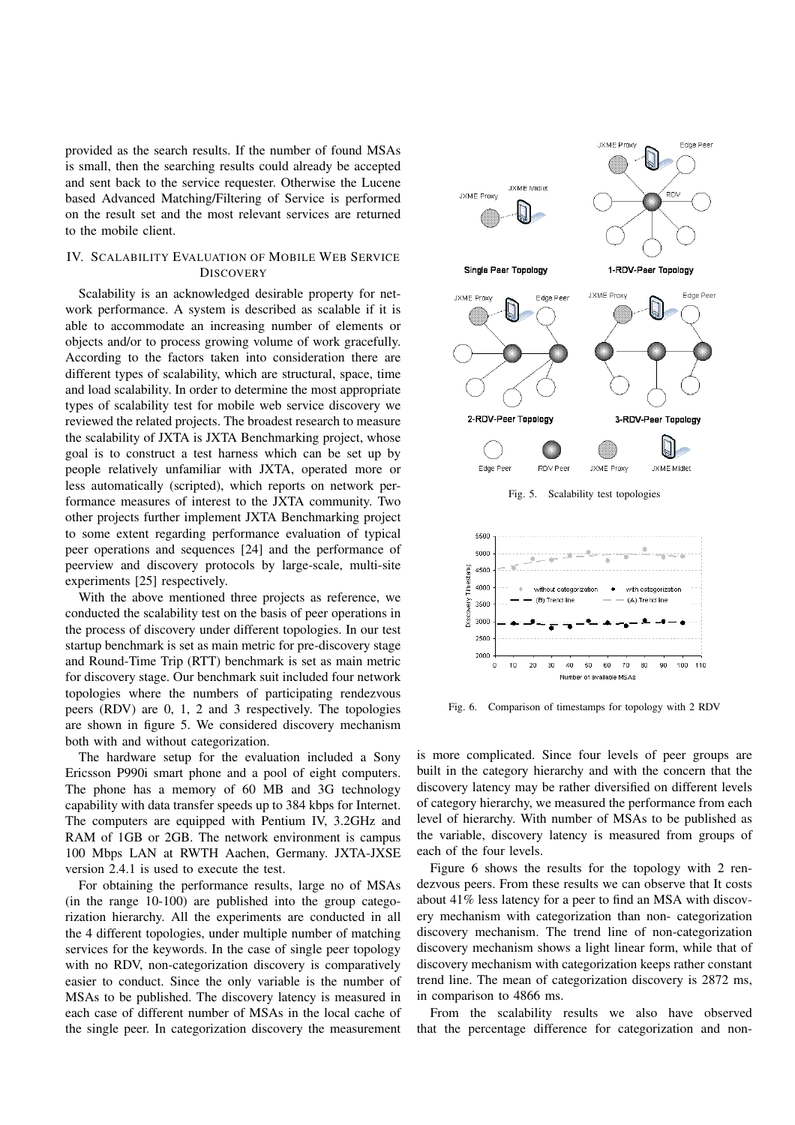provided as the search results. If the number of found MSAs is small, then the searching results could already be accepted and sent back to the service requester. Otherwise the Lucene based Advanced Matching/Filtering of Service is performed on the result set and the most relevant services are returned to the mobile client.

## IV. SCALABILITY EVALUATION OF MOBILE WEB SERVICE **DISCOVERY**

Scalability is an acknowledged desirable property for network performance. A system is described as scalable if it is able to accommodate an increasing number of elements or objects and/or to process growing volume of work gracefully. According to the factors taken into consideration there are different types of scalability, which are structural, space, time and load scalability. In order to determine the most appropriate types of scalability test for mobile web service discovery we reviewed the related projects. The broadest research to measure the scalability of JXTA is JXTA Benchmarking project, whose goal is to construct a test harness which can be set up by people relatively unfamiliar with JXTA, operated more or less automatically (scripted), which reports on network performance measures of interest to the JXTA community. Two other projects further implement JXTA Benchmarking project to some extent regarding performance evaluation of typical peer operations and sequences [24] and the performance of peerview and discovery protocols by large-scale, multi-site experiments [25] respectively.

With the above mentioned three projects as reference, we conducted the scalability test on the basis of peer operations in the process of discovery under different topologies. In our test startup benchmark is set as main metric for pre-discovery stage and Round-Time Trip (RTT) benchmark is set as main metric for discovery stage. Our benchmark suit included four network topologies where the numbers of participating rendezvous peers (RDV) are 0, 1, 2 and 3 respectively. The topologies are shown in figure 5. We considered discovery mechanism both with and without categorization.

The hardware setup for the evaluation included a Sony Ericsson P990i smart phone and a pool of eight computers. The phone has a memory of 60 MB and 3G technology capability with data transfer speeds up to 384 kbps for Internet. The computers are equipped with Pentium IV, 3.2GHz and RAM of 1GB or 2GB. The network environment is campus 100 Mbps LAN at RWTH Aachen, Germany. JXTA-JXSE version 2.4.1 is used to execute the test.

For obtaining the performance results, large no of MSAs (in the range 10-100) are published into the group categorization hierarchy. All the experiments are conducted in all the 4 different topologies, under multiple number of matching services for the keywords. In the case of single peer topology with no RDV, non-categorization discovery is comparatively easier to conduct. Since the only variable is the number of MSAs to be published. The discovery latency is measured in each case of different number of MSAs in the local cache of the single peer. In categorization discovery the measurement



Fig. 5. Scalability test topologies



Fig. 6. Comparison of timestamps for topology with 2 RDV

is more complicated. Since four levels of peer groups are built in the category hierarchy and with the concern that the discovery latency may be rather diversified on different levels of category hierarchy, we measured the performance from each level of hierarchy. With number of MSAs to be published as the variable, discovery latency is measured from groups of each of the four levels.

Figure 6 shows the results for the topology with 2 rendezvous peers. From these results we can observe that It costs about 41% less latency for a peer to find an MSA with discovery mechanism with categorization than non- categorization discovery mechanism. The trend line of non-categorization discovery mechanism shows a light linear form, while that of discovery mechanism with categorization keeps rather constant trend line. The mean of categorization discovery is 2872 ms, in comparison to 4866 ms.

From the scalability results we also have observed that the percentage difference for categorization and non